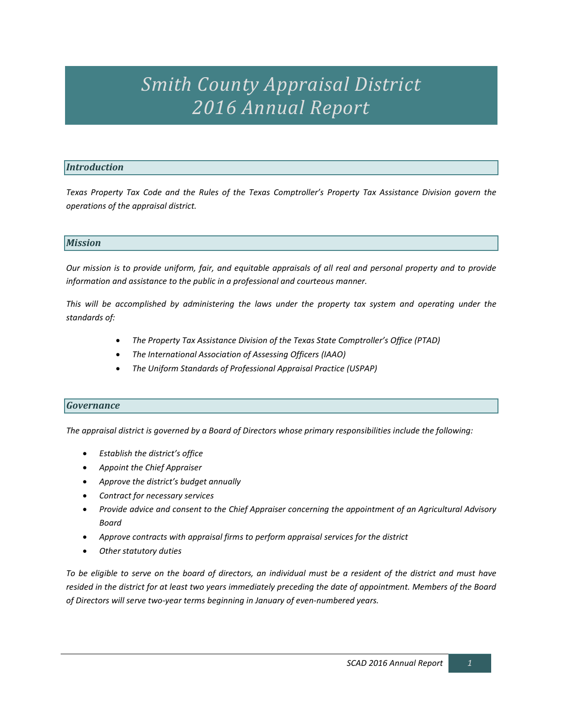# *Smith County Appraisal District 2016 Annual Report*

# *Introduction*

*Texas Property Tax Code and the Rules of the Texas Comptroller's Property Tax Assistance Division govern the operations of the appraisal district.*

### *Mission*

*Our mission is to provide uniform, fair, and equitable appraisals of all real and personal property and to provide information and assistance to the public in a professional and courteous manner.*

*This will be accomplished by administering the laws under the property tax system and operating under the standards of:*

- *The Property Tax Assistance Division of the Texas State Comptroller's Office (PTAD)*
- *The International Association of Assessing Officers (IAAO)*
- *The Uniform Standards of Professional Appraisal Practice (USPAP)*

# *Governance*

*The appraisal district is governed by a Board of Directors whose primary responsibilities include the following:*

- *Establish the district's office*
- *Appoint the Chief Appraiser*
- *Approve the district's budget annually*
- *Contract for necessary services*
- *Provide advice and consent to the Chief Appraiser concerning the appointment of an Agricultural Advisory Board*
- *Approve contracts with appraisal firms to perform appraisal services for the district*
- *Other statutory duties*

*To be eligible to serve on the board of directors, an individual must be a resident of the district and must have resided in the district for at least two years immediately preceding the date of appointment. Members of the Board of Directors will serve two-year terms beginning in January of even-numbered years.*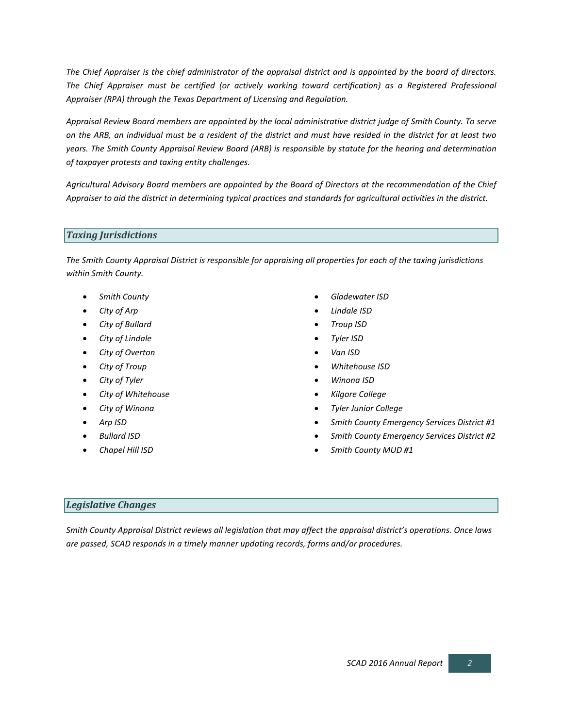*The Chief Appraiser is the chief administrator of the appraisal district and is appointed by the board of directors. The Chief Appraiser must be certified (or actively working toward certification) as a Registered Professional Appraiser (RPA) through the Texas Department of Licensing and Regulation.*

*Appraisal Review Board members are appointed by the local administrative district judge of Smith County. To serve on the ARB, an individual must be a resident of the district and must have resided in the district for at least two years. The Smith County Appraisal Review Board (ARB) is responsible by statute for the hearing and determination of taxpayer protests and taxing entity challenges.* 

*Agricultural Advisory Board members are appointed by the Board of Directors at the recommendation of the Chief Appraiser to aid the district in determining typical practices and standards for agricultural activities in the district.* 

### *Taxing Jurisdictions*

*The Smith County Appraisal District is responsible for appraising all properties for each of the taxing jurisdictions within Smith County.* 

- *Smith County*
- *City of Arp*
- *City of Bullard*
- *City of Lindale*
- *City of Overton*
- *City of Troup*
- *City of Tyler*
- *City of Whitehouse*
- *City of Winona*
- *Arp ISD*
- *Bullard ISD*
- *Chapel Hill ISD*
- *Gladewater ISD*
- *Lindale ISD*
- *Troup ISD*
- *Tyler ISD*
- *Van ISD*
- *Whitehouse ISD*
- *Winona ISD*
- *Kilgore College*
- *Tyler Junior College*
- *Smith County Emergency Services District #1*
- *Smith County Emergency Services District #2*
- *Smith County MUD #1*

# *Legislative Changes*

*Smith County Appraisal District reviews all legislation that may affect the appraisal district's operations. Once laws are passed, SCAD responds in a timely manner updating records, forms and/or procedures.*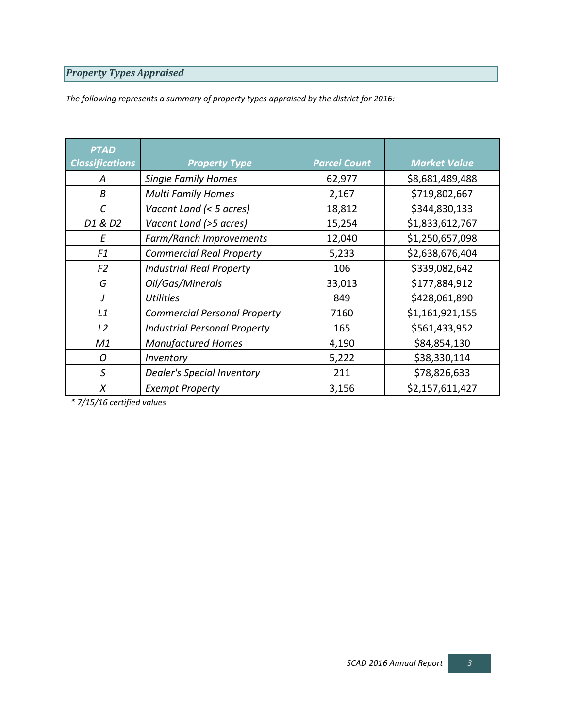# *Property Types Appraised*

*The following represents a summary of property types appraised by the district for 2016:*

| <b>PTAD</b>            |                                     |                     |                     |
|------------------------|-------------------------------------|---------------------|---------------------|
| <b>Classifications</b> | <b>Property Type</b>                | <b>Parcel Count</b> | <b>Market Value</b> |
| А                      | <b>Single Family Homes</b>          | 62,977              | \$8,681,489,488     |
| B                      | <b>Multi Family Homes</b>           | 2,167               | \$719,802,667       |
| $\mathcal{C}_{0}^{2}$  | Vacant Land (< 5 acres)             | 18,812              | \$344,830,133       |
| D1 & D2                | Vacant Land (>5 acres)              | 15,254              | \$1,833,612,767     |
| Ε                      | Farm/Ranch Improvements             | 12,040              | \$1,250,657,098     |
| F1                     | <b>Commercial Real Property</b>     | 5,233               | \$2,638,676,404     |
| F <sub>2</sub>         | <b>Industrial Real Property</b>     | 106                 | \$339,082,642       |
| G                      | Oil/Gas/Minerals                    | 33,013              | \$177,884,912       |
| J                      | <b>Utilities</b>                    | 849                 | \$428,061,890       |
| L1                     | <b>Commercial Personal Property</b> | 7160                | \$1,161,921,155     |
| L2                     | <b>Industrial Personal Property</b> | 165                 | \$561,433,952       |
| M1                     | <b>Manufactured Homes</b>           | 4,190               | \$84,854,130        |
| O                      | Inventory                           | 5,222               | \$38,330,114        |
| S                      | <b>Dealer's Special Inventory</b>   | 211                 | \$78,826,633        |
| X                      | <b>Exempt Property</b>              | 3,156               | \$2,157,611,427     |

*\* 7/15/16 certified values*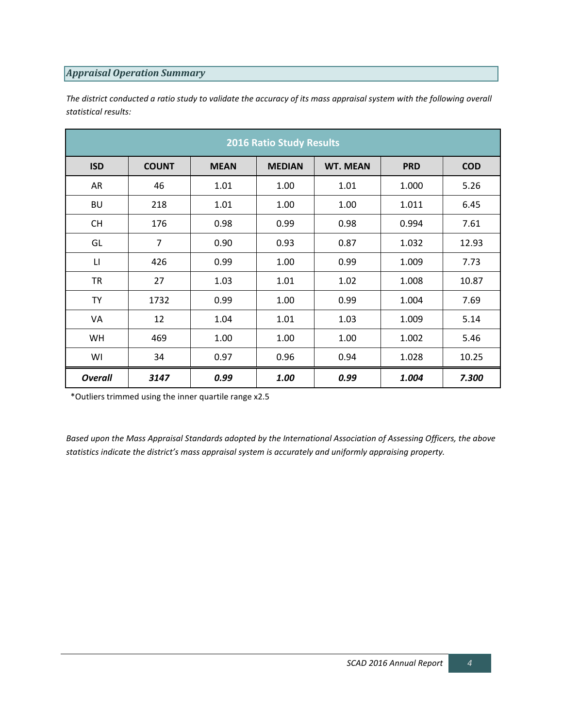# *Appraisal Operation Summary*

*The district conducted a ratio study to validate the accuracy of its mass appraisal system with the following overall statistical results:*

| <b>2016 Ratio Study Results</b> |                |             |               |                 |            |            |  |  |  |  |
|---------------------------------|----------------|-------------|---------------|-----------------|------------|------------|--|--|--|--|
| <b>ISD</b>                      | <b>COUNT</b>   | <b>MEAN</b> | <b>MEDIAN</b> | <b>WT. MEAN</b> | <b>PRD</b> | <b>COD</b> |  |  |  |  |
| AR                              | 46             | 1.01        | 1.00          | 1.01            | 1.000      | 5.26       |  |  |  |  |
| <b>BU</b>                       | 218            | 1.01        | 1.00          | 1.00            | 1.011      | 6.45       |  |  |  |  |
| <b>CH</b>                       | 176            | 0.98        | 0.99          | 0.98            | 0.994      | 7.61       |  |  |  |  |
| GL                              | $\overline{7}$ | 0.90        | 0.93          | 0.87            | 1.032      | 12.93      |  |  |  |  |
| $\mathsf{L}\mathsf{L}$          | 426            | 0.99        | 1.00          | 0.99            | 1.009      | 7.73       |  |  |  |  |
| TR                              | 27             | 1.03        | 1.01          | 1.02            | 1.008      | 10.87      |  |  |  |  |
| <b>TY</b>                       | 1732           | 0.99        | 1.00          | 0.99            | 1.004      | 7.69       |  |  |  |  |
| VA                              | 12             | 1.04        | 1.01          | 1.03            | 1.009      | 5.14       |  |  |  |  |
| WH                              | 469            | 1.00        | 1.00          | 1.00            | 1.002      | 5.46       |  |  |  |  |
| WI                              | 34             | 0.97        | 0.96          | 0.94            | 1.028      | 10.25      |  |  |  |  |
| <b>Overall</b>                  | 3147           | 0.99        | 1.00          | 0.99            | 1.004      | 7.300      |  |  |  |  |

\*Outliers trimmed using the inner quartile range x2.5

*Based upon the Mass Appraisal Standards adopted by the International Association of Assessing Officers, the above statistics indicate the district's mass appraisal system is accurately and uniformly appraising property.*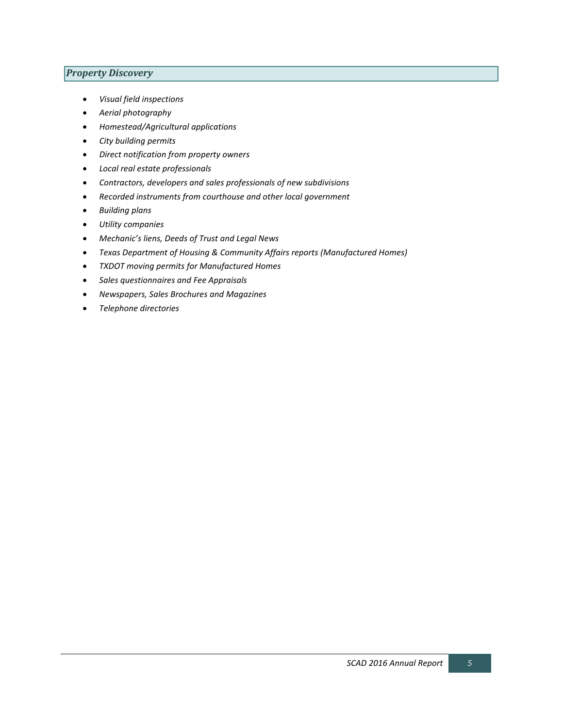# *Property Discovery*

- *Visual field inspections*
- *Aerial photography*
- *Homestead/Agricultural applications*
- *City building permits*
- *Direct notification from property owners*
- *Local real estate professionals*
- *Contractors, developers and sales professionals of new subdivisions*
- *Recorded instruments from courthouse and other local government*
- *Building plans*
- *Utility companies*
- *Mechanic's liens, Deeds of Trust and Legal News*
- *Texas Department of Housing & Community Affairs reports (Manufactured Homes)*
- *TXDOT moving permits for Manufactured Homes*
- *Sales questionnaires and Fee Appraisals*
- *Newspapers, Sales Brochures and Magazines*
- *Telephone directories*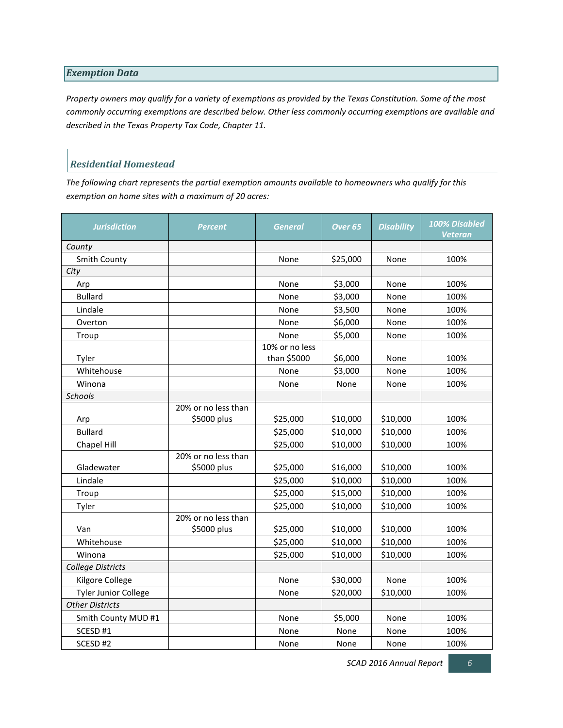### *Exemption Data*

*Property owners may qualify for a variety of exemptions as provided by the Texas Constitution. Some of the most commonly occurring exemptions are described below. Other less commonly occurring exemptions are available and described in the Texas Property Tax Code, Chapter 11.*

# *Residential Homestead*

*The following chart represents the partial exemption amounts available to homeowners who qualify for this exemption on home sites with a maximum of 20 acres:*

| <b>Jurisdiction</b>         | <b>Percent</b>                     | General                       | Over <sub>65</sub> | <b>Disability</b> | 100% Disabled<br>Veteran |
|-----------------------------|------------------------------------|-------------------------------|--------------------|-------------------|--------------------------|
| County                      |                                    |                               |                    |                   |                          |
| Smith County                |                                    | None                          | \$25,000           | None              | 100%                     |
| City                        |                                    |                               |                    |                   |                          |
| Arp                         |                                    | None                          | \$3,000            | None              | 100%                     |
| <b>Bullard</b>              |                                    | None                          | \$3,000            | None              | 100%                     |
| Lindale                     |                                    | None                          | \$3,500            | None              | 100%                     |
| Overton                     |                                    | None                          | \$6,000            | None              | 100%                     |
| Troup                       |                                    | None                          | \$5,000            | None              | 100%                     |
| Tyler                       |                                    | 10% or no less<br>than \$5000 | \$6,000            | None              | 100%                     |
| Whitehouse                  |                                    | None                          | \$3,000            | None              | 100%                     |
| Winona                      |                                    | None                          | None               | None              | 100%                     |
| <b>Schools</b>              |                                    |                               |                    |                   |                          |
| Arp                         | 20% or no less than<br>\$5000 plus | \$25,000                      | \$10,000           | \$10,000          | 100%                     |
| <b>Bullard</b>              |                                    | \$25,000                      | \$10,000           | \$10,000          | 100%                     |
| Chapel Hill                 |                                    | \$25,000                      | \$10,000           | \$10,000          | 100%                     |
| Gladewater                  | 20% or no less than<br>\$5000 plus | \$25,000                      | \$16,000           | \$10,000          | 100%                     |
| Lindale                     |                                    | \$25,000                      | \$10,000           | \$10,000          | 100%                     |
| Troup                       |                                    | \$25,000                      | \$15,000           | \$10,000          | 100%                     |
| Tyler                       |                                    | \$25,000                      | \$10,000           | \$10,000          | 100%                     |
| Van                         | 20% or no less than<br>\$5000 plus | \$25,000                      | \$10,000           | \$10,000          | 100%                     |
| Whitehouse                  |                                    | \$25,000                      | \$10,000           | \$10,000          | 100%                     |
| Winona                      |                                    | \$25,000                      | \$10,000           | \$10,000          | 100%                     |
| <b>College Districts</b>    |                                    |                               |                    |                   |                          |
| Kilgore College             |                                    | None                          | \$30,000           | None              | 100%                     |
| <b>Tyler Junior College</b> |                                    | None                          | \$20,000           | \$10,000          | 100%                     |
| <b>Other Districts</b>      |                                    |                               |                    |                   |                          |
| Smith County MUD #1         |                                    | None                          | \$5,000            | None              | 100%                     |
| SCESD #1                    |                                    | None                          | None               | None              | 100%                     |
| SCESD <sub>#2</sub>         |                                    | None                          | None               | None              | 100%                     |

*SCAD 2016 Annual Report 6*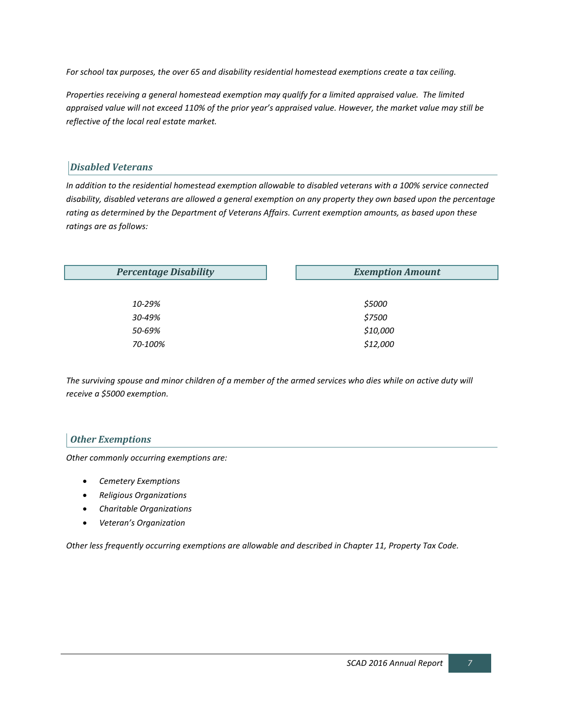*For school tax purposes, the over 65 and disability residential homestead exemptions create a tax ceiling.*

*Properties receiving a general homestead exemption may qualify for a limited appraised value. The limited appraised value will not exceed 110% of the prior year's appraised value. However, the market value may still be reflective of the local real estate market.*

# *Disabled Veterans*

*In addition to the residential homestead exemption allowable to disabled veterans with a 100% service connected disability, disabled veterans are allowed a general exemption on any property they own based upon the percentage rating as determined by the Department of Veterans Affairs. Current exemption amounts, as based upon these ratings are as follows:*

| <b>Percentage Disability</b> | <b>Exemption Amount</b> |
|------------------------------|-------------------------|
|                              |                         |
| 10-29%                       | \$5000                  |
| 30-49%                       | \$7500                  |
| 50-69%                       | \$10,000                |
| 70-100%                      | \$12,000                |
|                              |                         |

*The surviving spouse and minor children of a member of the armed services who dies while on active duty will receive a \$5000 exemption.*

# *Other Exemptions*

*Other commonly occurring exemptions are:*

- *Cemetery Exemptions*
- *Religious Organizations*
- *Charitable Organizations*
- *Veteran's Organization*

*Other less frequently occurring exemptions are allowable and described in Chapter 11, Property Tax Code.*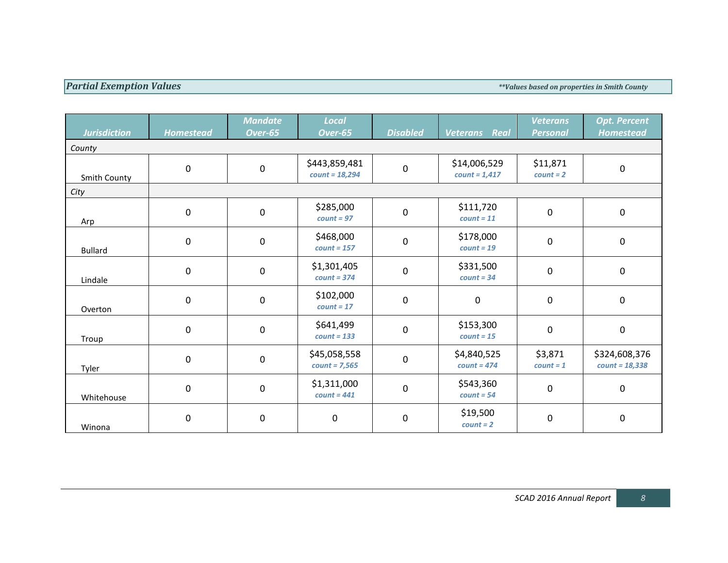**Partial Exemption Values** *Partial Exemption Values Partial Exemption Values based on properties in Smith County* 

| <b>Jurisdiction</b> | <b>Homestead</b> | <b>Mandate</b><br>Over-65 | <b>Local</b><br>Over-65           | <b>Disabled</b>  | Real<br><b>Veterans</b>         | <b>Veterans</b><br><b>Personal</b> | <b>Opt. Percent</b><br><b>Homestead</b> |
|---------------------|------------------|---------------------------|-----------------------------------|------------------|---------------------------------|------------------------------------|-----------------------------------------|
| County              |                  |                           |                                   |                  |                                 |                                    |                                         |
| Smith County        | $\mathbf 0$      | $\mathbf 0$               | \$443,859,481<br>$count = 18,294$ | $\pmb{0}$        | \$14,006,529<br>$count = 1,417$ | \$11,871<br>$count = 2$            | $\pmb{0}$                               |
| City                |                  |                           |                                   |                  |                                 |                                    |                                         |
| Arp                 | $\mathbf 0$      | $\mathbf 0$               | \$285,000<br>$count = 97$         | $\boldsymbol{0}$ | \$111,720<br>$count = 11$       | 0                                  | $\mathbf 0$                             |
| <b>Bullard</b>      | $\boldsymbol{0}$ | $\mathbf 0$               | \$468,000<br>$count = 157$        | $\pmb{0}$        | \$178,000<br>$count = 19$       | 0                                  | $\pmb{0}$                               |
| Lindale             | $\mathbf 0$      | $\mathbf 0$               | \$1,301,405<br>$count = 374$      | $\pmb{0}$        | \$331,500<br>$count = 34$       | $\overline{0}$                     | $\mathbf 0$                             |
| Overton             | $\boldsymbol{0}$ | $\mathbf 0$               | \$102,000<br>$count = 17$         | $\pmb{0}$        | 0                               | 0                                  | $\pmb{0}$                               |
| Troup               | $\mathbf 0$      | $\mathbf 0$               | \$641,499<br>$count = 133$        | $\pmb{0}$        | \$153,300<br>$count = 15$       | 0                                  | $\pmb{0}$                               |
| Tyler               | $\mathbf 0$      | $\pmb{0}$                 | \$45,058,558<br>$count = 7,565$   | $\pmb{0}$        | \$4,840,525<br>$count = 474$    | \$3,871<br>$count = 1$             | \$324,608,376<br>$count = 18,338$       |
| Whitehouse          | $\mathbf 0$      | $\mathbf 0$               | \$1,311,000<br>$count = 441$      | $\pmb{0}$        | \$543,360<br>$count = 54$       | 0                                  | $\mathbf 0$                             |
| Winona              | $\mathbf 0$      | $\mathbf 0$               | $\mathbf 0$                       | $\pmb{0}$        | \$19,500<br>$count = 2$         | $\mathbf 0$                        | $\pmb{0}$                               |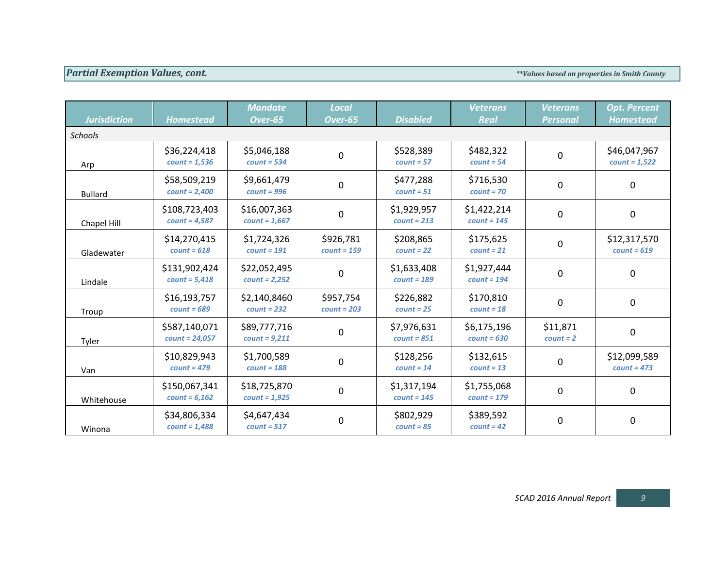# **Partial Exemption Values, cont.**  $\blacksquare$

| <b>Jurisdiction</b> | <b>Homestead</b>                  | <b>Mandate</b><br>Over-65       | <b>Local</b><br>Over-65    | <b>Disabled</b>              | <b>Veterans</b><br><b>Real</b> | <b>Veterans</b><br><b>Personal</b> | <b>Opt. Percent</b><br><b>Homestead</b> |  |  |  |
|---------------------|-----------------------------------|---------------------------------|----------------------------|------------------------------|--------------------------------|------------------------------------|-----------------------------------------|--|--|--|
| <b>Schools</b>      |                                   |                                 |                            |                              |                                |                                    |                                         |  |  |  |
| Arp                 | \$36,224,418<br>$count = 1,536$   | \$5,046,188<br>$count = 534$    | $\mathbf 0$                | \$528,389<br>$count = 57$    | \$482,322<br>$count = 54$      | 0                                  | \$46,047,967<br>$count = 1,522$         |  |  |  |
| <b>Bullard</b>      | \$58,509,219<br>$count = 2,400$   | \$9,661,479<br>$count = 996$    | 0                          | \$477,288<br>$count = 51$    | \$716,530<br>$count = 70$      | 0                                  | 0                                       |  |  |  |
| Chapel Hill         | \$108,723,403<br>$count = 4,587$  | \$16,007,363<br>$count = 1,667$ | 0                          | \$1,929,957<br>$count = 213$ | \$1,422,214<br>$count = 145$   | 0                                  | 0                                       |  |  |  |
| Gladewater          | \$14,270,415<br>$count = 618$     | \$1,724,326<br>$count = 191$    | \$926,781<br>$count = 159$ | \$208,865<br>$count = 22$    | \$175,625<br>$count = 21$      | 0                                  | \$12,317,570<br>$count = 619$           |  |  |  |
| Lindale             | \$131,902,424<br>$count = 5,418$  | \$22,052,495<br>$count = 2,252$ | 0                          | \$1,633,408<br>$count = 189$ | \$1,927,444<br>$count = 194$   | 0                                  | 0                                       |  |  |  |
| Troup               | \$16,193,757<br>$count = 689$     | \$2,140,8460<br>$count = 232$   | \$957,754<br>$count = 203$ | \$226,882<br>$count = 25$    | \$170,810<br>$count = 18$      | 0                                  | 0                                       |  |  |  |
| Tyler               | \$587,140,071<br>$count = 24,057$ | \$89,777,716<br>$count = 9,211$ | 0                          | \$7,976,631<br>$count = 851$ | \$6,175,196<br>$count = 630$   | \$11,871<br>$count = 2$            | 0                                       |  |  |  |
| Van                 | \$10,829,943<br>$count = 479$     | \$1,700,589<br>$count = 188$    | 0                          | \$128,256<br>$count = 14$    | \$132,615<br>$count = 13$      | 0                                  | \$12,099,589<br>$count = 473$           |  |  |  |
| Whitehouse          | \$150,067,341<br>$count = 6,162$  | \$18,725,870<br>$count = 1,925$ | $\mathbf 0$                | \$1,317,194<br>$count = 145$ | \$1,755,068<br>$count = 179$   | 0                                  | 0                                       |  |  |  |
| Winona              | \$34,806,334<br>$count = 1,488$   | \$4,647,434<br>$count = 517$    | $\pmb{0}$                  | \$802,929<br>$count = 85$    | \$389,592<br>$count = 42$      | 0                                  | 0                                       |  |  |  |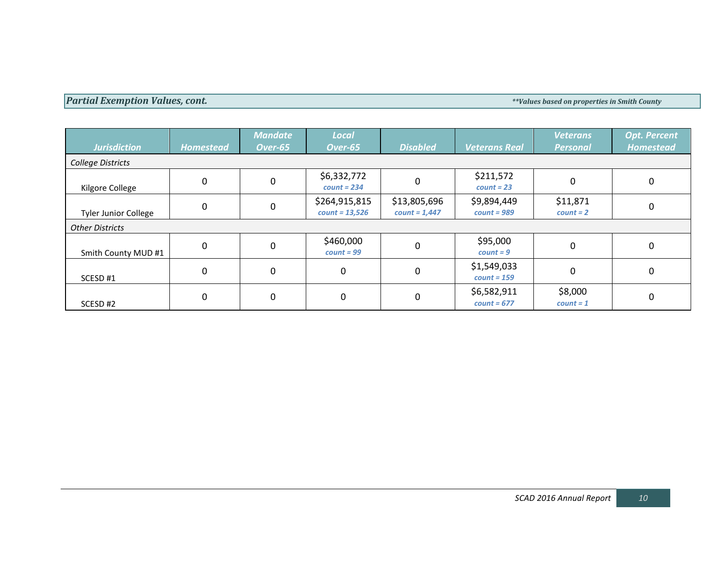# **Partial Exemption Values, cont.**  $\blacksquare$

| <b>Jurisdiction</b>         | <b>Homestead</b> | <b>Mandate</b><br>Over-65 | <b>Local</b><br>Over-65           | <b>Disabled</b>                 | <b>Veterans Real</b>         | <b>Veterans</b><br><b>Personal</b> | <b>Opt. Percent</b><br><b>Homestead</b> |
|-----------------------------|------------------|---------------------------|-----------------------------------|---------------------------------|------------------------------|------------------------------------|-----------------------------------------|
| College Districts           |                  |                           |                                   |                                 |                              |                                    |                                         |
| Kilgore College             | 0                | $\Omega$                  | \$6,332,772<br>$count = 234$      | 0                               | \$211,572<br>$count = 23$    | $\Omega$                           | 0                                       |
| <b>Tyler Junior College</b> | 0                | $\Omega$                  | \$264,915,815<br>$count = 13,526$ | \$13,805,696<br>$count = 1,447$ | \$9,894,449<br>$count = 989$ | \$11,871<br>$count = 2$            | 0                                       |
| <b>Other Districts</b>      |                  |                           |                                   |                                 |                              |                                    |                                         |
| Smith County MUD #1         | 0                | $\Omega$                  | \$460,000<br>$count = 99$         | 0                               | \$95,000<br>$count = 9$      | $\mathbf 0$                        | 0                                       |
| SCESD#1                     | 0                | $\mathbf{0}$              | 0                                 | 0                               | \$1,549,033<br>$count = 159$ | 0                                  | 0                                       |
| SCESD#2                     | 0                | $\Omega$                  | 0                                 | 0                               | \$6,582,911<br>$count = 677$ | \$8,000<br>$count = 1$             | 0                                       |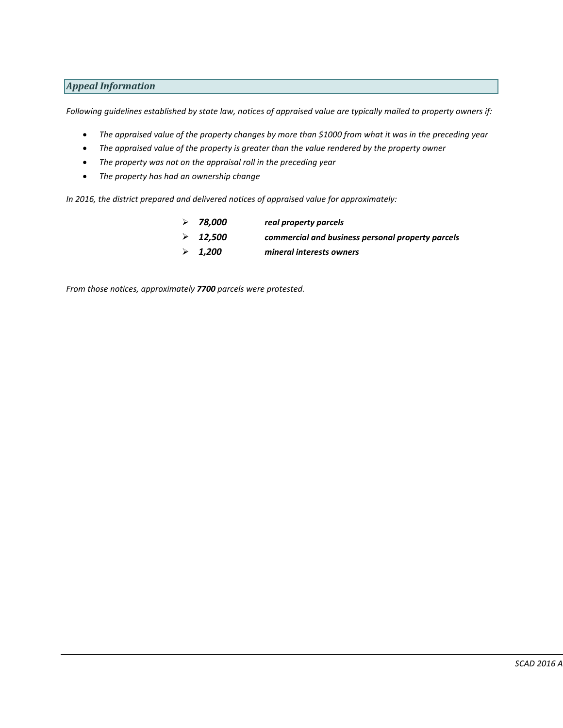# *Appeal Information*

*Following guidelines established by state law, notices of appraised value are typically mailed to property owners if:*

- *The appraised value of the property changes by more than \$1000 from what it was in the preceding year*
- *The appraised value of the property is greater than the value rendered by the property owner*
- *The property was not on the appraisal roll in the preceding year*
- *The property has had an ownership change*

*In 2016, the district prepared and delivered notices of appraised value for approximately:*

 *78,000 real property parcels 12,500 commercial and business personal property parcels 1,200 mineral interests owners*

*From those notices, approximately 7700 parcels were protested.*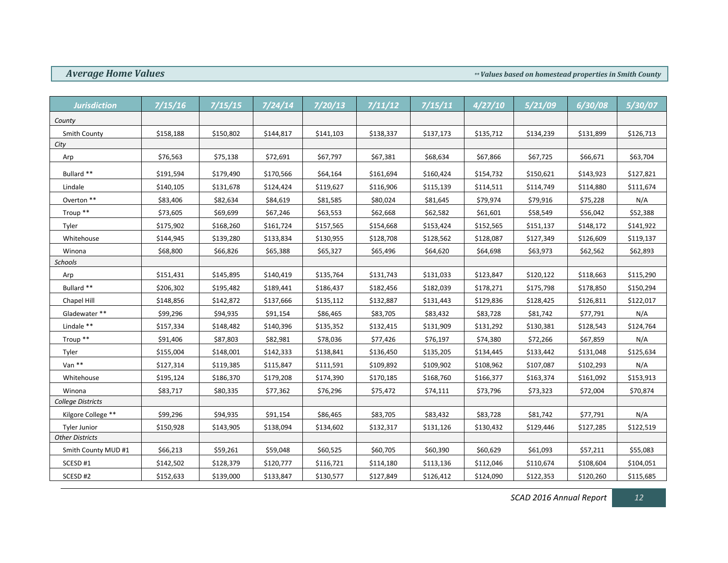*Average Home Values*  $\bullet$  *Average Home Values based on homestead properties in Smith County* 

| <b>Jurisdiction</b>    | 7/15/16   | 7/15/15   | 7/24/14   | 7/20/13   | 7/11/12   | 7/15/11   | 4/27/10   | 5/21/09   | 6/30/08   | 5/30/07   |
|------------------------|-----------|-----------|-----------|-----------|-----------|-----------|-----------|-----------|-----------|-----------|
| County                 |           |           |           |           |           |           |           |           |           |           |
| <b>Smith County</b>    | \$158,188 | \$150,802 | \$144,817 | \$141,103 | \$138,337 | \$137,173 | \$135,712 | \$134,239 | \$131,899 | \$126,713 |
| City                   |           |           |           |           |           |           |           |           |           |           |
| Arp                    | \$76,563  | \$75,138  | \$72,691  | \$67,797  | \$67,381  | \$68,634  | \$67,866  | \$67,725  | \$66,671  | \$63,704  |
| Bullard **             | \$191,594 | \$179,490 | \$170,566 | \$64,164  | \$161,694 | \$160,424 | \$154,732 | \$150,621 | \$143,923 | \$127,821 |
| Lindale                | \$140,105 | \$131,678 | \$124,424 | \$119,627 | \$116,906 | \$115,139 | \$114,511 | \$114,749 | \$114,880 | \$111,674 |
| Overton $**$           | \$83,406  | \$82,634  | \$84,619  | \$81,585  | \$80,024  | \$81,645  | \$79,974  | \$79,916  | \$75,228  | N/A       |
| Troup **               | \$73,605  | \$69,699  | \$67,246  | \$63,553  | \$62,668  | \$62,582  | \$61,601  | \$58,549  | \$56,042  | \$52,388  |
| Tyler                  | \$175,902 | \$168,260 | \$161,724 | \$157,565 | \$154,668 | \$153,424 | \$152,565 | \$151,137 | \$148,172 | \$141,922 |
| Whitehouse             | \$144,945 | \$139,280 | \$133,834 | \$130,955 | \$128,708 | \$128,562 | \$128,087 | \$127,349 | \$126,609 | \$119,137 |
| Winona                 | \$68,800  | \$66,826  | \$65,388  | \$65,327  | \$65,496  | \$64,620  | \$64,698  | \$63,973  | \$62,562  | \$62,893  |
| Schools                |           |           |           |           |           |           |           |           |           |           |
| Arp                    | \$151,431 | \$145,895 | \$140,419 | \$135,764 | \$131,743 | \$131,033 | \$123,847 | \$120,122 | \$118,663 | \$115,290 |
| Bullard **             | \$206,302 | \$195,482 | \$189,441 | \$186,437 | \$182,456 | \$182,039 | \$178,271 | \$175,798 | \$178,850 | \$150,294 |
| Chapel Hill            | \$148,856 | \$142,872 | \$137,666 | \$135,112 | \$132,887 | \$131,443 | \$129,836 | \$128,425 | \$126,811 | \$122,017 |
| Gladewater**           | \$99,296  | \$94,935  | \$91,154  | \$86,465  | \$83,705  | \$83,432  | \$83,728  | \$81,742  | \$77,791  | N/A       |
| Lindale **             | \$157,334 | \$148,482 | \$140,396 | \$135,352 | \$132,415 | \$131,909 | \$131,292 | \$130,381 | \$128,543 | \$124,764 |
| Troup **               | \$91,406  | \$87,803  | \$82,981  | \$78,036  | \$77,426  | \$76,197  | \$74,380  | \$72,266  | \$67,859  | N/A       |
| Tyler                  | \$155,004 | \$148,001 | \$142,333 | \$138,841 | \$136,450 | \$135,205 | \$134,445 | \$133,442 | \$131,048 | \$125,634 |
| Van **                 | \$127,314 | \$119,385 | \$115,847 | \$111,591 | \$109,892 | \$109,902 | \$108,962 | \$107,087 | \$102,293 | N/A       |
| Whitehouse             | \$195,124 | \$186,370 | \$179,208 | \$174,390 | \$170,185 | \$168,760 | \$166,377 | \$163,374 | \$161,092 | \$153,913 |
| Winona                 | \$83,717  | \$80,335  | \$77,362  | \$76,296  | \$75,472  | \$74,111  | \$73,796  | \$73,323  | \$72,004  | \$70,874  |
| College Districts      |           |           |           |           |           |           |           |           |           |           |
| Kilgore College **     | \$99,296  | \$94,935  | \$91,154  | \$86,465  | \$83,705  | \$83,432  | \$83,728  | \$81,742  | \$77,791  | N/A       |
| Tyler Junior           | \$150,928 | \$143,905 | \$138,094 | \$134,602 | \$132,317 | \$131,126 | \$130,432 | \$129,446 | \$127,285 | \$122,519 |
| <b>Other Districts</b> |           |           |           |           |           |           |           |           |           |           |
| Smith County MUD #1    | \$66,213  | \$59,261  | \$59,048  | \$60,525  | \$60,705  | \$60,390  | \$60,629  | \$61,093  | \$57,211  | \$55,083  |
| SCESD #1               | \$142,502 | \$128,379 | \$120,777 | \$116,721 | \$114,180 | \$113,136 | \$112,046 | \$110,674 | \$108,604 | \$104,051 |
| SCESD #2               | \$152,633 | \$139,000 | \$133,847 | \$130,577 | \$127,849 | \$126,412 | \$124,090 | \$122,353 | \$120,260 | \$115,685 |

*SCAD 2016 Annual Report 12*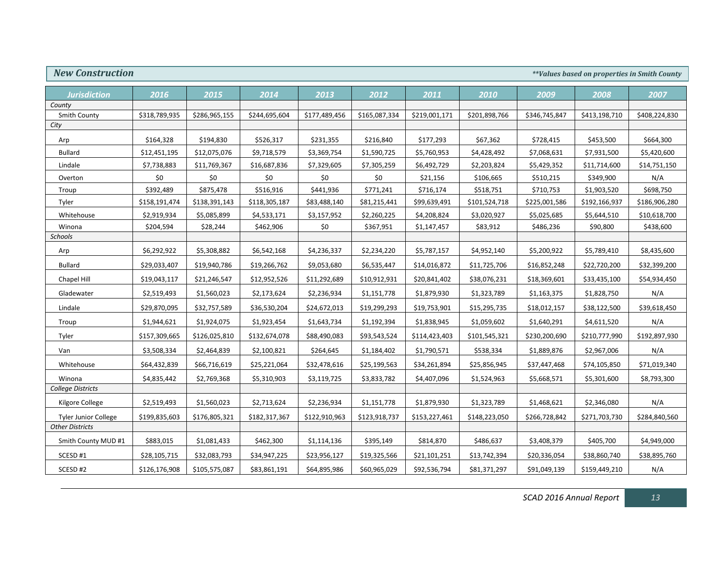| <b>New Construction</b><br><i>**Values based on properties in Smith County</i> |               |               |               |               |               |               |               |               |               |               |
|--------------------------------------------------------------------------------|---------------|---------------|---------------|---------------|---------------|---------------|---------------|---------------|---------------|---------------|
| <b>Jurisdiction</b>                                                            | 2016          | 2015          | 2014          | 2013          | 2012          | 2011          | 2010          | 2009          | 2008          | 2007          |
| County                                                                         |               |               |               |               |               |               |               |               |               |               |
| Smith County                                                                   | \$318,789,935 | \$286,965,155 | \$244,695,604 | \$177,489,456 | \$165,087,334 | \$219,001,171 | \$201,898,766 | \$346,745,847 | \$413,198,710 | \$408,224,830 |
| City                                                                           |               |               |               |               |               |               |               |               |               |               |
| Arp                                                                            | \$164,328     | \$194,830     | \$526,317     | \$231,355     | \$216,840     | \$177,293     | \$67,362      | \$728,415     | \$453,500     | \$664,300     |
| <b>Bullard</b>                                                                 | \$12,451,195  | \$12,075,076  | \$9,718,579   | \$3,369,754   | \$1,590,725   | \$5,760,953   | \$4,428,492   | \$7,068,631   | \$7,931,500   | \$5,420,600   |
| Lindale                                                                        | \$7,738,883   | \$11,769,367  | \$16,687,836  | \$7,329,605   | \$7,305,259   | \$6,492,729   | \$2,203,824   | \$5,429,352   | \$11,714,600  | \$14,751,150  |
| Overton                                                                        | \$0           | \$0           | \$0           | \$0           | \$0           | \$21,156      | \$106,665     | \$510,215     | \$349,900     | N/A           |
| Troup                                                                          | \$392,489     | \$875,478     | \$516,916     | \$441,936     | \$771,241     | \$716,174     | \$518,751     | \$710,753     | \$1,903,520   | \$698,750     |
| Tyler                                                                          | \$158,191,474 | \$138,391,143 | \$118,305,187 | \$83,488,140  | \$81,215,441  | \$99,639,491  | \$101,524,718 | \$225,001,586 | \$192,166,937 | \$186,906,280 |
| Whitehouse                                                                     | \$2,919,934   | \$5,085,899   | \$4,533,171   | \$3,157,952   | \$2,260,225   | \$4,208,824   | \$3,020,927   | \$5,025,685   | \$5,644,510   | \$10,618,700  |
| Winona                                                                         | \$204,594     | \$28,244      | \$462,906     | \$0           | \$367,951     | \$1,147,457   | \$83,912      | \$486,236     | \$90,800      | \$438,600     |
| Schools                                                                        |               |               |               |               |               |               |               |               |               |               |
| Arp                                                                            | \$6,292,922   | \$5,308,882   | \$6,542,168   | \$4,236,337   | \$2,234,220   | \$5,787,157   | \$4,952,140   | \$5,200,922   | \$5,789,410   | \$8,435,600   |
| <b>Bullard</b>                                                                 | \$29,033,407  | \$19,940,786  | \$19,266,762  | \$9,053,680   | \$6,535,447   | \$14,016,872  | \$11,725,706  | \$16,852,248  | \$22,720,200  | \$32,399,200  |
| Chapel Hill                                                                    | \$19,043,117  | \$21,246,547  | \$12,952,526  | \$11,292,689  | \$10,912,931  | \$20,841,402  | \$38,076,231  | \$18,369,601  | \$33,435,100  | \$54,934,450  |
| Gladewater                                                                     | \$2,519,493   | \$1,560,023   | \$2,173,624   | \$2,236,934   | \$1,151,778   | \$1,879,930   | \$1,323,789   | \$1,163,375   | \$1,828,750   | N/A           |
| Lindale                                                                        | \$29,870,095  | \$32,757,589  | \$36,530,204  | \$24,672,013  | \$19,299,293  | \$19,753,901  | \$15,295,735  | \$18,012,157  | \$38,122,500  | \$39,618,450  |
| Troup                                                                          | \$1,944,621   | \$1,924,075   | \$1,923,454   | \$1,643,734   | \$1,192,394   | \$1,838,945   | \$1,059,602   | \$1,640,291   | \$4,611,520   | N/A           |
| Tyler                                                                          | \$157,309,665 | \$126,025,810 | \$132,674,078 | \$88,490,083  | \$93,543,524  | \$114,423,403 | \$101,545,321 | \$230,200,690 | \$210,777,990 | \$192,897,930 |
| Van                                                                            | \$3,508,334   | \$2,464,839   | \$2,100,821   | \$264,645     | \$1,184,402   | \$1,790,571   | \$538,334     | \$1,889,876   | \$2,967,006   | N/A           |
| Whitehouse                                                                     | \$64,432,839  | \$66,716,619  | \$25,221,064  | \$32,478,616  | \$25,199,563  | \$34,261,894  | \$25,856,945  | \$37,447,468  | \$74,105,850  | \$71,019,340  |
| Winona                                                                         | \$4,835,442   | \$2,769,368   | \$5,310,903   | \$3,119,725   | \$3,833,782   | \$4,407,096   | \$1,524,963   | \$5,668,571   | \$5,301,600   | \$8,793,300   |
| College Districts                                                              |               |               |               |               |               |               |               |               |               |               |
| Kilgore College                                                                | \$2,519,493   | \$1,560,023   | \$2,713,624   | \$2,236,934   | \$1,151,778   | \$1,879,930   | \$1,323,789   | \$1,468,621   | \$2,346,080   | N/A           |
| <b>Tyler Junior College</b>                                                    | \$199,835,603 | \$176,805,321 | \$182,317,367 | \$122,910,963 | \$123,918,737 | \$153,227,461 | \$148,223,050 | \$266,728,842 | \$271,703,730 | \$284,840,560 |
| <b>Other Districts</b>                                                         |               |               |               |               |               |               |               |               |               |               |
| Smith County MUD #1                                                            | \$883,015     | \$1,081,433   | \$462,300     | \$1,114,136   | \$395,149     | \$814,870     | \$486,637     | \$3,408,379   | \$405,700     | \$4,949,000   |
| SCESD #1                                                                       | \$28,105,715  | \$32,083,793  | \$34,947,225  | \$23,956,127  | \$19,325,566  | \$21,101,251  | \$13,742,394  | \$20,336,054  | \$38,860,740  | \$38,895,760  |
| SCESD #2                                                                       | \$126,176,908 | \$105,575,087 | \$83,861,191  | \$64,895,986  | \$60,965,029  | \$92,536,794  | \$81,371,297  | \$91,049,139  | \$159,449,210 | N/A           |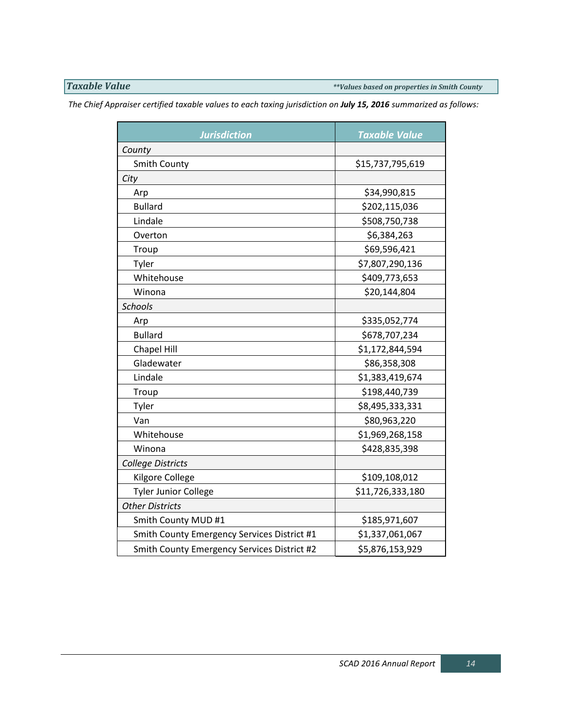*Taxable Value \*\*Values based on properties in Smith County*

*The Chief Appraiser certified taxable values to each taxing jurisdiction on July 15, 2016 summarized as follows:*

| <b>Jurisdiction</b>                         | <b>Taxable Value</b> |
|---------------------------------------------|----------------------|
| County                                      |                      |
| <b>Smith County</b>                         | \$15,737,795,619     |
| City                                        |                      |
| Arp                                         | \$34,990,815         |
| <b>Bullard</b>                              | \$202,115,036        |
| Lindale                                     | \$508,750,738        |
| Overton                                     | \$6,384,263          |
| Troup                                       | \$69,596,421         |
| Tyler                                       | \$7,807,290,136      |
| Whitehouse                                  | \$409,773,653        |
| Winona                                      | \$20,144,804         |
| <b>Schools</b>                              |                      |
| Arp                                         | \$335,052,774        |
| <b>Bullard</b>                              | \$678,707,234        |
| Chapel Hill                                 | \$1,172,844,594      |
| Gladewater                                  | \$86,358,308         |
| Lindale                                     | \$1,383,419,674      |
| Troup                                       | \$198,440,739        |
| Tyler                                       | \$8,495,333,331      |
| Van                                         | \$80,963,220         |
| Whitehouse                                  | \$1,969,268,158      |
| Winona                                      | \$428,835,398        |
| College Districts                           |                      |
| Kilgore College                             | \$109,108,012        |
| <b>Tyler Junior College</b>                 | \$11,726,333,180     |
| <b>Other Districts</b>                      |                      |
| Smith County MUD #1                         | \$185,971,607        |
| Smith County Emergency Services District #1 | \$1,337,061,067      |
| Smith County Emergency Services District #2 | \$5,876,153,929      |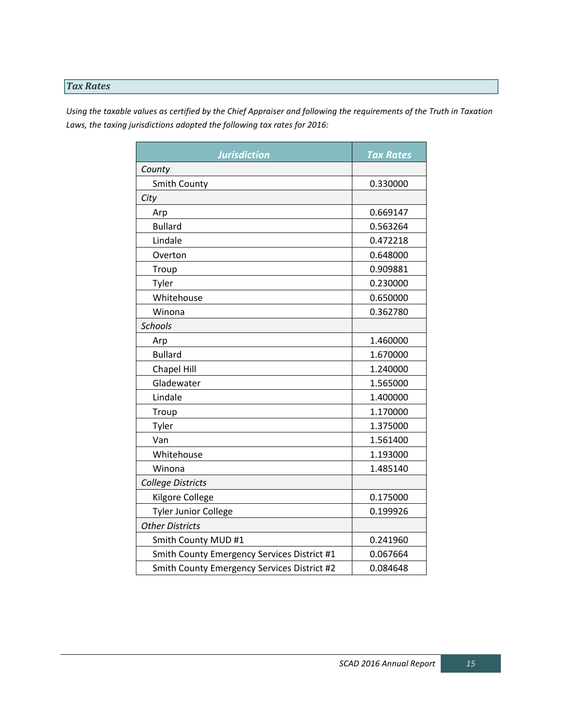# *Tax Rates*

*Using the taxable values as certified by the Chief Appraiser and following the requirements of the Truth in Taxation Laws, the taxing jurisdictions adopted the following tax rates for 2016:*

| <b>Jurisdiction</b>                         | <b>Tax Rates</b> |
|---------------------------------------------|------------------|
| County                                      |                  |
| <b>Smith County</b>                         | 0.330000         |
| City                                        |                  |
| Arp                                         | 0.669147         |
| <b>Bullard</b>                              | 0.563264         |
| Lindale                                     | 0.472218         |
| Overton                                     | 0.648000         |
| Troup                                       | 0.909881         |
| Tyler                                       | 0.230000         |
| Whitehouse                                  | 0.650000         |
| Winona                                      | 0.362780         |
| <b>Schools</b>                              |                  |
| Arp                                         | 1.460000         |
| <b>Bullard</b>                              | 1.670000         |
| <b>Chapel Hill</b>                          | 1.240000         |
| Gladewater                                  | 1.565000         |
| Lindale                                     | 1.400000         |
| Troup                                       | 1.170000         |
| Tyler                                       | 1.375000         |
| Van                                         | 1.561400         |
| Whitehouse                                  | 1.193000         |
| Winona                                      | 1.485140         |
| College Districts                           |                  |
| Kilgore College                             | 0.175000         |
| <b>Tyler Junior College</b>                 | 0.199926         |
| <b>Other Districts</b>                      |                  |
| Smith County MUD #1                         | 0.241960         |
| Smith County Emergency Services District #1 | 0.067664         |
| Smith County Emergency Services District #2 | 0.084648         |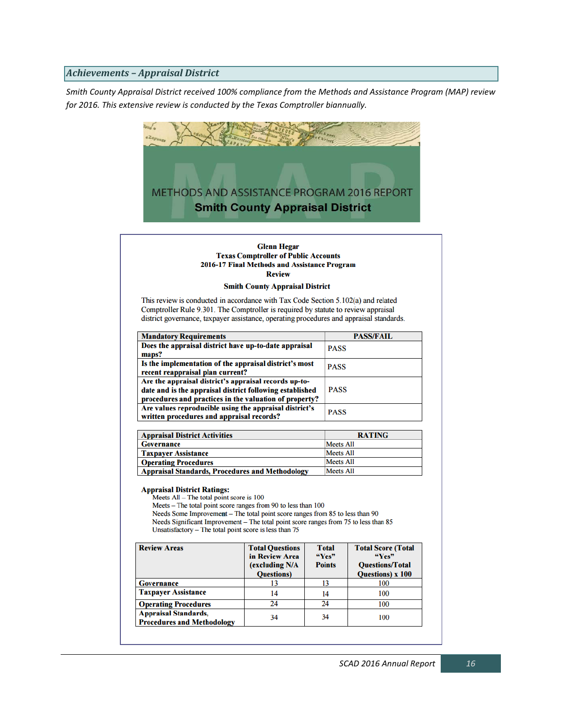### *Achievements – Appraisal District*

*Smith County Appraisal District received 100% compliance from the Methods and Assistance Program (MAP) review for 2016. This extensive review is conducted by the Texas Comptroller biannually.* 

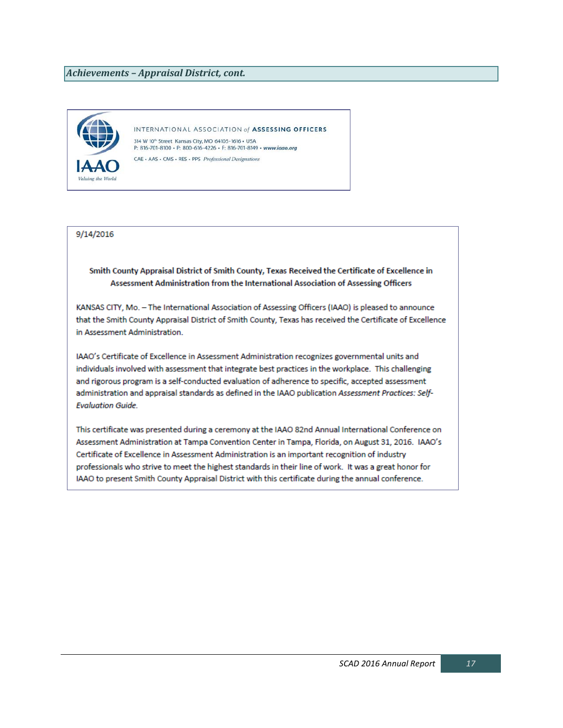### *Achievements – Appraisal District, cont.*



INTERNATIONAL ASSOCIATION of ASSESSING OFFICERS 314 W 10<sup>th</sup> Street Kansas City, MO 64105-1616 . USA P: 816-701-8100 · P: 800-616-4226 · F: 816-701-8149 · www.iaao.org CAE - AAS - CMS - RES - PPS Professional Designations

9/14/2016

### Smith County Appraisal District of Smith County, Texas Received the Certificate of Excellence in Assessment Administration from the International Association of Assessing Officers

KANSAS CITY, Mo. - The International Association of Assessing Officers (IAAO) is pleased to announce that the Smith County Appraisal District of Smith County, Texas has received the Certificate of Excellence in Assessment Administration.

IAAO's Certificate of Excellence in Assessment Administration recognizes governmental units and individuals involved with assessment that integrate best practices in the workplace. This challenging and rigorous program is a self-conducted evaluation of adherence to specific, accepted assessment administration and appraisal standards as defined in the IAAO publication Assessment Practices: Self-**Evaluation Guide.** 

This certificate was presented during a ceremony at the IAAO 82nd Annual International Conference on Assessment Administration at Tampa Convention Center in Tampa, Florida, on August 31, 2016. IAAO's Certificate of Excellence in Assessment Administration is an important recognition of industry professionals who strive to meet the highest standards in their line of work. It was a great honor for IAAO to present Smith County Appraisal District with this certificate during the annual conference.